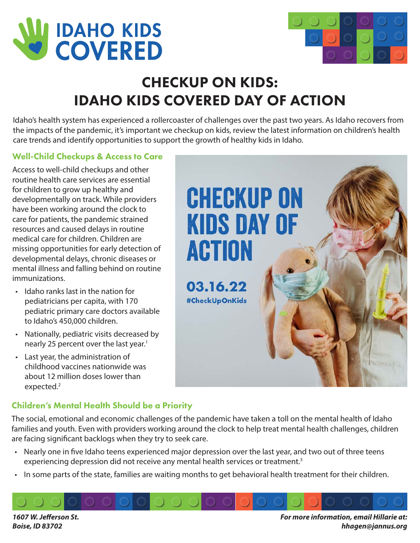



# CHECKUP ON KIDS: IDAHO KIDS COVERED DAY OF ACTION

Idaho's health system has experienced a rollercoaster of challenges over the past two years. As Idaho recovers from the impacts of the pandemic, it's important we checkup on kids, review the latest information on children's health care trends and identify opportunities to support the growth of healthy kids in Idaho.

# Well-Child Checkups & Access to Care

Access to well-child checkups and other routine health care services are essential for children to grow up healthy and developmentally on track. While providers have been working around the clock to care for patients, the pandemic strained resources and caused delays in routine medical care for children. Children are missing opportunities for early detection of developmental delays, chronic diseases or mental illness and falling behind on routine immunizations.

- Idaho ranks last in the nation for pediatricians per capita, with 170 pediatric primary care doctors available to Idaho's 450,000 children.
- Nationally, pediatric visits decreased by nearly 25 percent over the last year.<sup>1</sup>
- Last year, the administration of childhood vaccines nationwide was about 12 million doses lower than expected.<sup>2</sup>



### Children's Mental Health Should be a Priority

The social, emotional and economic challenges of the pandemic have taken a toll on the mental health of Idaho families and youth. Even with providers working around the clock to help treat mental health challenges, children are facing significant backlogs when they try to seek care.

- Nearly one in five Idaho teens experienced major depression over the last year, and two out of three teens experiencing depression did not receive any mental health services or treatment.<sup>3</sup>
- In some parts of the state, families are waiting months to get behavioral health treatment for their children.

**1607 W. Jefferson St. Boise, ID 83702**

**For more information, email Hillarie at: hhagen@jannus.org**